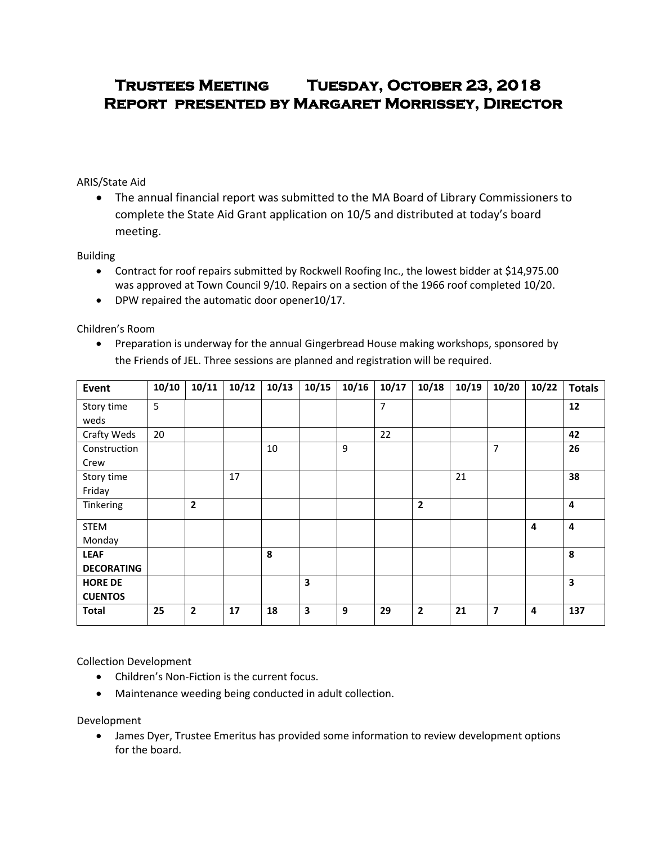# **Trustees Meeting Tuesday, October 23, 2018 Report presented by Margaret Morrissey, Director**

# ARIS/State Aid

 The annual financial report was submitted to the MA Board of Library Commissioners to complete the State Aid Grant application on 10/5 and distributed at today's board meeting.

#### Building

- Contract for roof repairs submitted by Rockwell Roofing Inc., the lowest bidder at \$14,975.00 was approved at Town Council 9/10. Repairs on a section of the 1966 roof completed 10/20.
- DPW repaired the automatic door opener10/17.

## Children's Room

• Preparation is underway for the annual Gingerbread House making workshops, sponsored by the Friends of JEL. Three sessions are planned and registration will be required.

| Event             | 10/10 | 10/11          | 10/12 | 10/13 | 10/15 | 10/16 | 10/17 | 10/18          | 10/19 | 10/20          | 10/22 | <b>Totals</b>  |
|-------------------|-------|----------------|-------|-------|-------|-------|-------|----------------|-------|----------------|-------|----------------|
| Story time        | 5     |                |       |       |       |       | 7     |                |       |                |       | 12             |
| weds              |       |                |       |       |       |       |       |                |       |                |       |                |
| Crafty Weds       | 20    |                |       |       |       |       | 22    |                |       |                |       | 42             |
| Construction      |       |                |       | 10    |       | 9     |       |                |       | $\overline{7}$ |       | 26             |
| Crew              |       |                |       |       |       |       |       |                |       |                |       |                |
| Story time        |       |                | 17    |       |       |       |       |                | 21    |                |       | 38             |
| Friday            |       |                |       |       |       |       |       |                |       |                |       |                |
| Tinkering         |       | $\overline{2}$ |       |       |       |       |       | $\overline{2}$ |       |                |       | $\overline{a}$ |
| <b>STEM</b>       |       |                |       |       |       |       |       |                |       |                | 4     | $\overline{a}$ |
| Monday            |       |                |       |       |       |       |       |                |       |                |       |                |
| <b>LEAF</b>       |       |                |       | 8     |       |       |       |                |       |                |       | 8              |
| <b>DECORATING</b> |       |                |       |       |       |       |       |                |       |                |       |                |
| <b>HORE DE</b>    |       |                |       |       | 3     |       |       |                |       |                |       | 3              |
| <b>CUENTOS</b>    |       |                |       |       |       |       |       |                |       |                |       |                |
| <b>Total</b>      | 25    | $\overline{2}$ | 17    | 18    | 3     | 9     | 29    | $\overline{2}$ | 21    | 7              | 4     | 137            |

#### Collection Development

- Children's Non-Fiction is the current focus.
- Maintenance weeding being conducted in adult collection.

Development

 James Dyer, Trustee Emeritus has provided some information to review development options for the board.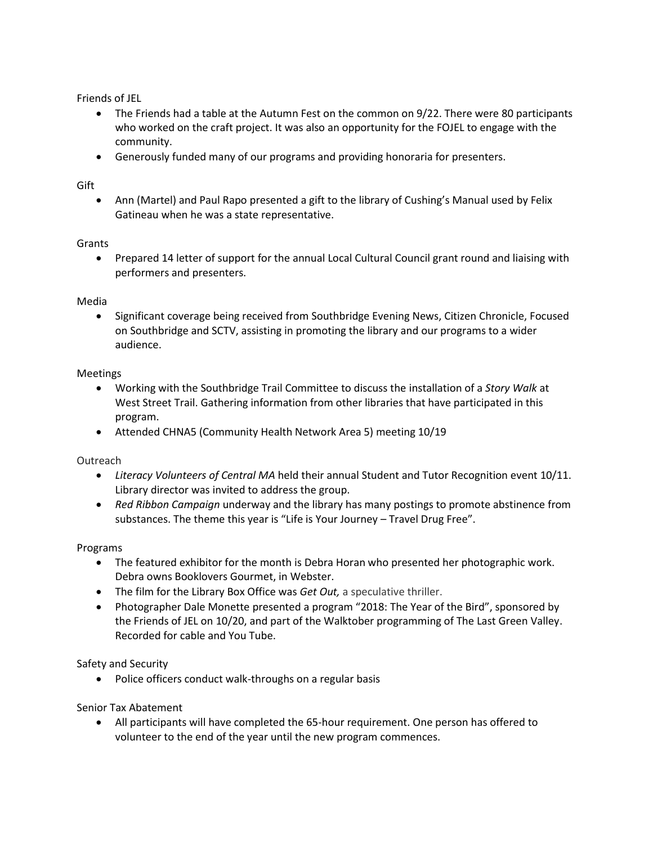Friends of JEL

- The Friends had a table at the Autumn Fest on the common on 9/22. There were 80 participants who worked on the craft project. It was also an opportunity for the FOJEL to engage with the community.
- Generously funded many of our programs and providing honoraria for presenters.

## Gift

 Ann (Martel) and Paul Rapo presented a gift to the library of Cushing's Manual used by Felix Gatineau when he was a state representative.

#### Grants

 Prepared 14 letter of support for the annual Local Cultural Council grant round and liaising with performers and presenters.

#### Media

 Significant coverage being received from Southbridge Evening News, Citizen Chronicle, Focused on Southbridge and SCTV, assisting in promoting the library and our programs to a wider audience.

#### Meetings

- Working with the Southbridge Trail Committee to discuss the installation of a *Story Walk* at West Street Trail. Gathering information from other libraries that have participated in this program.
- Attended CHNA5 (Community Health Network Area 5) meeting 10/19

#### **Outreach**

- *Literacy Volunteers of Central MA* held their annual Student and Tutor Recognition event 10/11. Library director was invited to address the group.
- *Red Ribbon Campaign* underway and the library has many postings to promote abstinence from substances. The theme this year is "Life is Your Journey – Travel Drug Free".

#### Programs

- The featured exhibitor for the month is Debra Horan who presented her photographic work. Debra owns Booklovers Gourmet, in Webster.
- The film for the Library Box Office was *Get Out,* a speculative thriller.
- Photographer Dale Monette presented a program "2018: The Year of the Bird", sponsored by the Friends of JEL on 10/20, and part of the Walktober programming of The Last Green Valley. Recorded for cable and You Tube.

#### Safety and Security

• Police officers conduct walk-throughs on a regular basis

#### Senior Tax Abatement

 All participants will have completed the 65-hour requirement. One person has offered to volunteer to the end of the year until the new program commences.